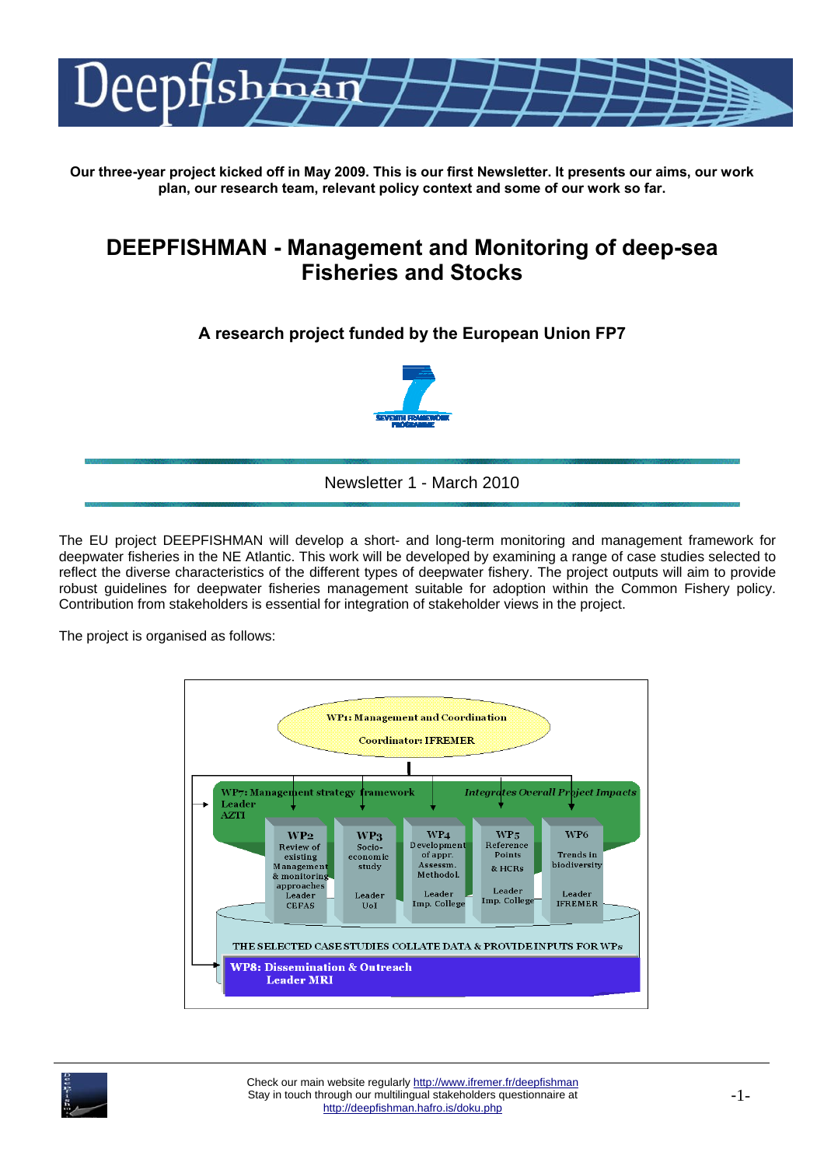

**Our three-year project kicked off in May 2009. This is our first Newsletter. It presents our aims, our work plan, our research team, relevant policy context and some of our work so far.** 

# **DEEPFISHMAN - Management and Monitoring of deep-sea Fisheries and Stocks**

# **A research project funded by the European Union FP7**



Newsletter 1 - March 2010

The EU project DEEPFISHMAN will develop a short- and long-term monitoring and management framework for deepwater fisheries in the NE Atlantic. This work will be developed by examining a range of case studies selected to reflect the diverse characteristics of the different types of deepwater fishery. The project outputs will aim to provide robust guidelines for deepwater fisheries management suitable for adoption within the Common Fishery policy. Contribution from stakeholders is essential for integration of stakeholder views in the project.

The project is organised as follows:



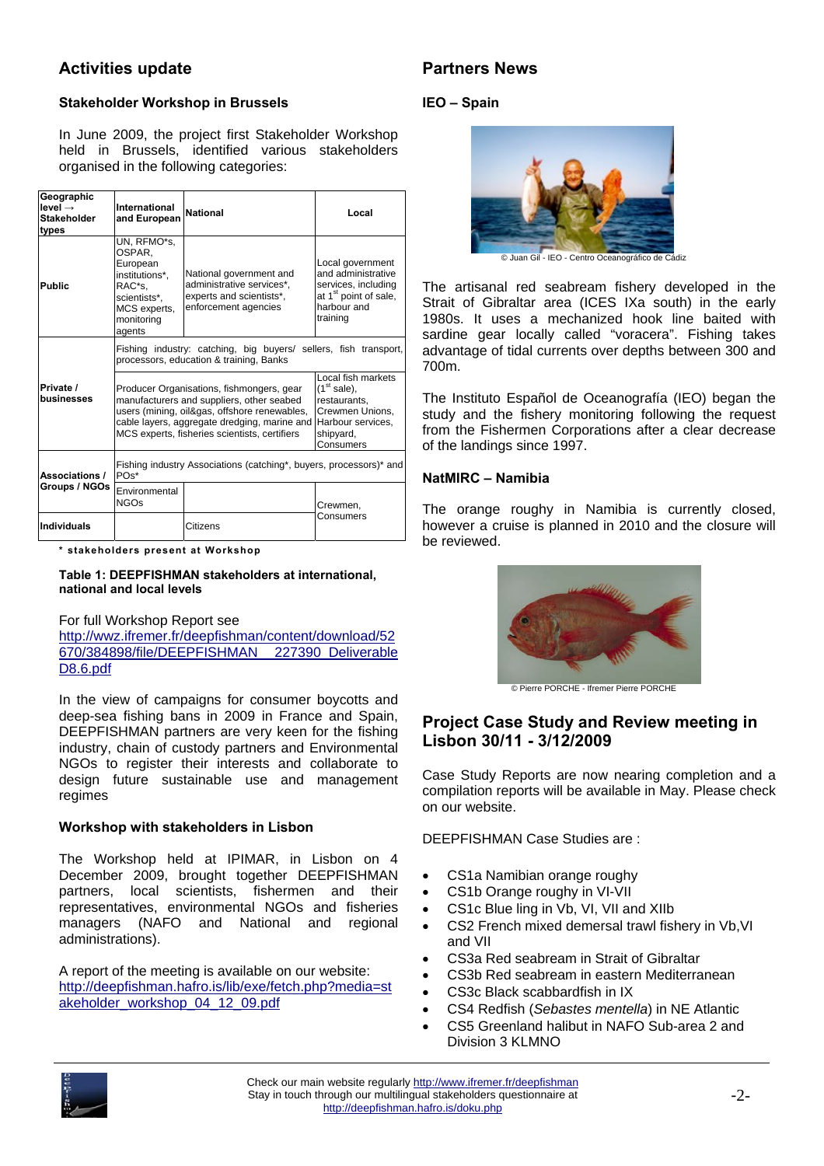# **Activities update**

#### **Stakeholder Workshop in Brussels**

In June 2009, the project first Stakeholder Workshop held in Brussels, identified various stakeholders organised in the following categories:

| Geographic<br>$level \rightarrow$<br><b>Stakeholder</b><br>types | International<br>and European                                                                                         | <b>National</b>                                                                                                                                                                                                                                                                                                                                                  | Local                                                                                                                         |  |
|------------------------------------------------------------------|-----------------------------------------------------------------------------------------------------------------------|------------------------------------------------------------------------------------------------------------------------------------------------------------------------------------------------------------------------------------------------------------------------------------------------------------------------------------------------------------------|-------------------------------------------------------------------------------------------------------------------------------|--|
| <b>Public</b>                                                    | UN, RFMO*s,<br>OSPAR.<br>European<br>institutions*,<br>RAC*s.<br>scientists*.<br>MCS experts,<br>monitoring<br>agents | National government and<br>administrative services*,<br>experts and scientists*,<br>enforcement agencies                                                                                                                                                                                                                                                         | Local government<br>and administrative<br>services, including<br>at 1 <sup>st</sup> point of sale,<br>harbour and<br>training |  |
|                                                                  | Fishing industry: catching, big buyers/ sellers, fish transport,<br>processors, education & training, Banks           |                                                                                                                                                                                                                                                                                                                                                                  |                                                                                                                               |  |
| Private /<br>businesses                                          |                                                                                                                       | Local fish markets<br>$(1st$ sale),<br>Producer Organisations, fishmongers, gear<br>manufacturers and suppliers, other seabed<br>restaurants,<br>users (mining, oil&gas, offshore renewables,<br>Crewmen Unions.<br>cable layers, aggregate dredging, marine and<br>Harbour services,<br>MCS experts, fisheries scientists, certifiers<br>shipyard,<br>Consumers |                                                                                                                               |  |
| Associations /<br>Groups / NGOs                                  | Fishing industry Associations (catching*, buyers, processors)* and<br>$POS^*$                                         |                                                                                                                                                                                                                                                                                                                                                                  |                                                                                                                               |  |
|                                                                  | Environmental<br><b>NGOs</b>                                                                                          |                                                                                                                                                                                                                                                                                                                                                                  | Crewmen,                                                                                                                      |  |
| <b>Individuals</b>                                               |                                                                                                                       | Citizens                                                                                                                                                                                                                                                                                                                                                         | Consumers                                                                                                                     |  |

**\* stakeholders present at Workshop** 

#### **Table 1: DEEPFISHMAN stakeholders at international, national and local levels**

#### For full Workshop Report see

http://wwz.ifremer.fr/deepfishman/content/download/52 670/384898/file/DEEPFISHMAN 227390\_Deliverable D8.6.pdf

In the view of campaigns for consumer boycotts and deep-sea fishing bans in 2009 in France and Spain, DEEPFISHMAN partners are very keen for the fishing industry, chain of custody partners and Environmental NGOs to register their interests and collaborate to design future sustainable use and management regimes

#### **Workshop with stakeholders in Lisbon**

The Workshop held at IPIMAR, in Lisbon on 4 December 2009, brought together DEEPFISHMAN partners, local scientists, fishermen and their representatives, environmental NGOs and fisheries managers (NAFO and National and regional administrations).

A report of the meeting is available on our website: http://deepfishman.hafro.is/lib/exe/fetch.php?media=st akeholder\_workshop\_04\_12\_09.pdf

# **Partners News**

#### **IEO – Spain**



© Juan Gil - IEO - Centro Oceanográfico de Cádiz

The artisanal red seabream fishery developed in the Strait of Gibraltar area (ICES IXa south) in the early 1980s. It uses a mechanized hook line baited with sardine gear locally called "voracera". Fishing takes advantage of tidal currents over depths between 300 and 700m.

The Instituto Español de Oceanografía (IEO) began the study and the fishery monitoring following the request from the Fishermen Corporations after a clear decrease of the landings since 1997.

#### **NatMIRC – Namibia**

The orange roughy in Namibia is currently closed, however a cruise is planned in 2010 and the closure will be reviewed.



© Pierre PORCHE - Ifremer Pierre PORCHE

### **Project Case Study and Review meeting in Lisbon 30/11 - 3/12/2009**

Case Study Reports are now nearing completion and a compilation reports will be available in May. Please check on our website.

DEEPFISHMAN Case Studies are :

- CS1a Namibian orange roughy
- CS1b Orange roughy in VI-VII
- CS1c Blue ling in Vb, VI, VII and XIIb
- CS2 French mixed demersal trawl fishery in Vb,VI and VII
- CS3a Red seabream in Strait of Gibraltar
- CS3b Red seabream in eastern Mediterranean
- CS3c Black scabbardfish in IX
- CS4 Redfish (*Sebastes mentella*) in NE Atlantic
- CS5 Greenland halibut in NAFO Sub-area 2 and Division 3 KLMNO

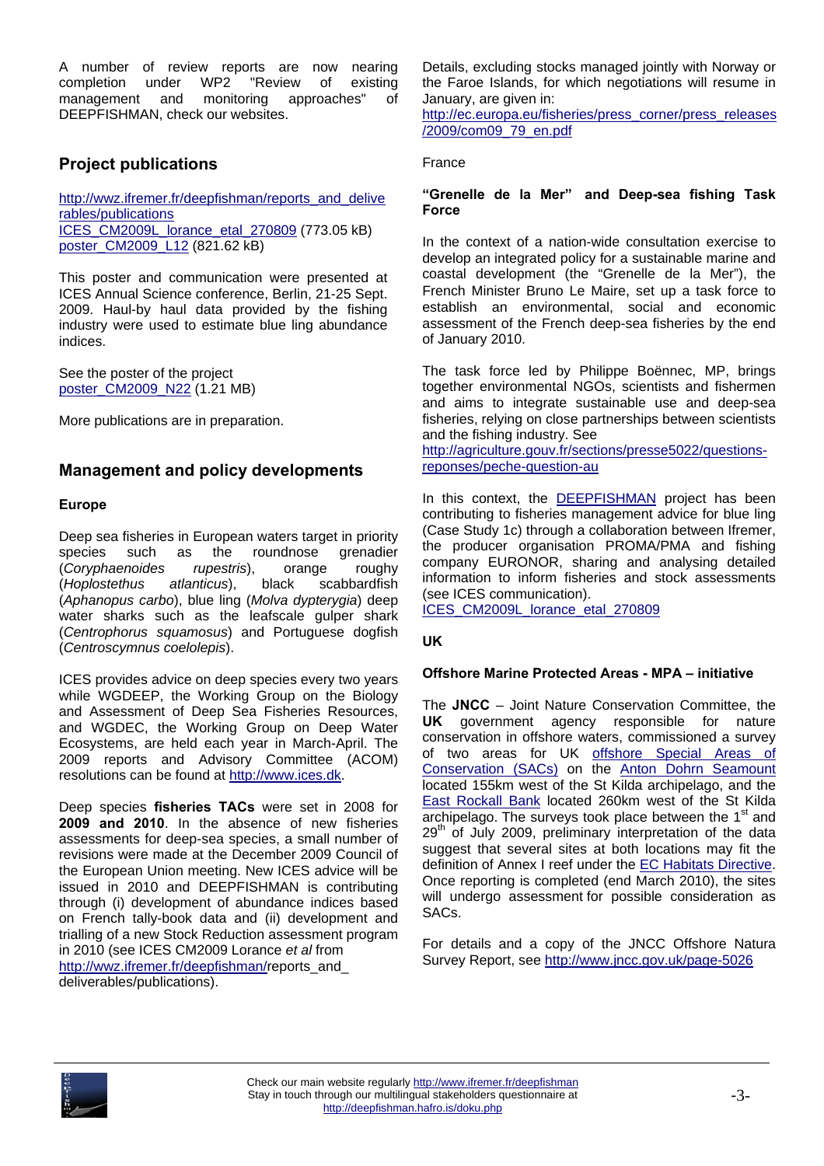A number of review reports are now nearing completion under WP2 "Review of existing management and monitoring approaches" of DEEPFISHMAN, check our websites.

## **Project publications**

http://wwz.ifremer.fr/deepfishman/reports\_and\_delive rables/publications ICES\_CM2009L\_lorance\_etal\_270809 (773.05 kB) poster\_CM2009\_L12 (821.62 kB)

This poster and communication were presented at ICES Annual Science conference, Berlin, 21-25 Sept. 2009. Haul-by haul data provided by the fishing industry were used to estimate blue ling abundance indices.

See the poster of the project poster\_CM2009\_N22 (1.21 MB)

More publications are in preparation.

### **Management and policy developments**

#### **Europe**

Deep sea fisheries in European waters target in priority species such as the roundnose grenadier (*Coryphaenoides rupestris*), orange roughy (*Hoplostethus atlanticus*), black scabbardfish (*Aphanopus carbo*), blue ling (*Molva dypterygia*) deep water sharks such as the leafscale gulper shark (*Centrophorus squamosus*) and Portuguese dogfish (*Centroscymnus coelolepis*).

ICES provides advice on deep species every two years while WGDEEP, the Working Group on the Biology and Assessment of Deep Sea Fisheries Resources, and WGDEC, the Working Group on Deep Water Ecosystems, are held each year in March-April. The 2009 reports and Advisory Committee (ACOM) resolutions can be found at http://www.ices.dk.

Deep species **fisheries TACs** were set in 2008 for **2009 and 2010**. In the absence of new fisheries assessments for deep-sea species, a small number of revisions were made at the December 2009 Council of the European Union meeting. New ICES advice will be issued in 2010 and DEEPFISHMAN is contributing through (i) development of abundance indices based on French tally-book data and (ii) development and trialling of a new Stock Reduction assessment program in 2010 (see ICES CM2009 Lorance *et al* from http://wwz.ifremer.fr/deepfishman/reports\_and\_ deliverables/publications).

Details, excluding stocks managed jointly with Norway or the Faroe Islands, for which negotiations will resume in January, are given in:

http://ec.europa.eu/fisheries/press\_corner/press\_releases /2009/com09\_79\_en.pdf

#### France

#### **"Grenelle de la Mer" and Deep-sea fishing Task Force**

In the context of a nation-wide consultation exercise to develop an integrated policy for a sustainable marine and coastal development (the "Grenelle de la Mer"), the French Minister Bruno Le Maire, set up a task force to establish an environmental, social and economic assessment of the French deep-sea fisheries by the end of January 2010.

The task force led by Philippe Boënnec, MP, brings together environmental NGOs, scientists and fishermen and aims to integrate sustainable use and deep-sea fisheries, relying on close partnerships between scientists and the fishing industry. See

http://agriculture.gouv.fr/sections/presse5022/questionsreponses/peche-question-au

In this context, the **DEEPFISHMAN** project has been contributing to fisheries management advice for blue ling (Case Study 1c) through a collaboration between Ifremer, the producer organisation PROMA/PMA and fishing company EURONOR, sharing and analysing detailed information to inform fisheries and stock assessments (see ICES communication).

ICES\_CM2009L\_lorance\_etal\_270809

#### **UK**

#### **Offshore Marine Protected Areas - MPA – initiative**

The **JNCC** – Joint Nature Conservation Committee, the UK government agency responsible for nature conservation in offshore waters, commissioned a survey of two areas for UK offshore Special Areas of Conservation (SACs) on the Anton Dohrn Seamount located 155km west of the St Kilda archipelago, and the East Rockall Bank located 260km west of the St Kilda archipelago. The surveys took place between the 1<sup>st</sup> and 29<sup>th</sup> of July 2009, preliminary interpretation of the data suggest that several sites at both locations may fit the definition of Annex I reef under the EC Habitats Directive. Once reporting is completed (end March 2010), the sites will undergo assessment for possible consideration as SACs.

For details and a copy of the JNCC Offshore Natura Survey Report, see http://www.jncc.gov.uk/page-5026

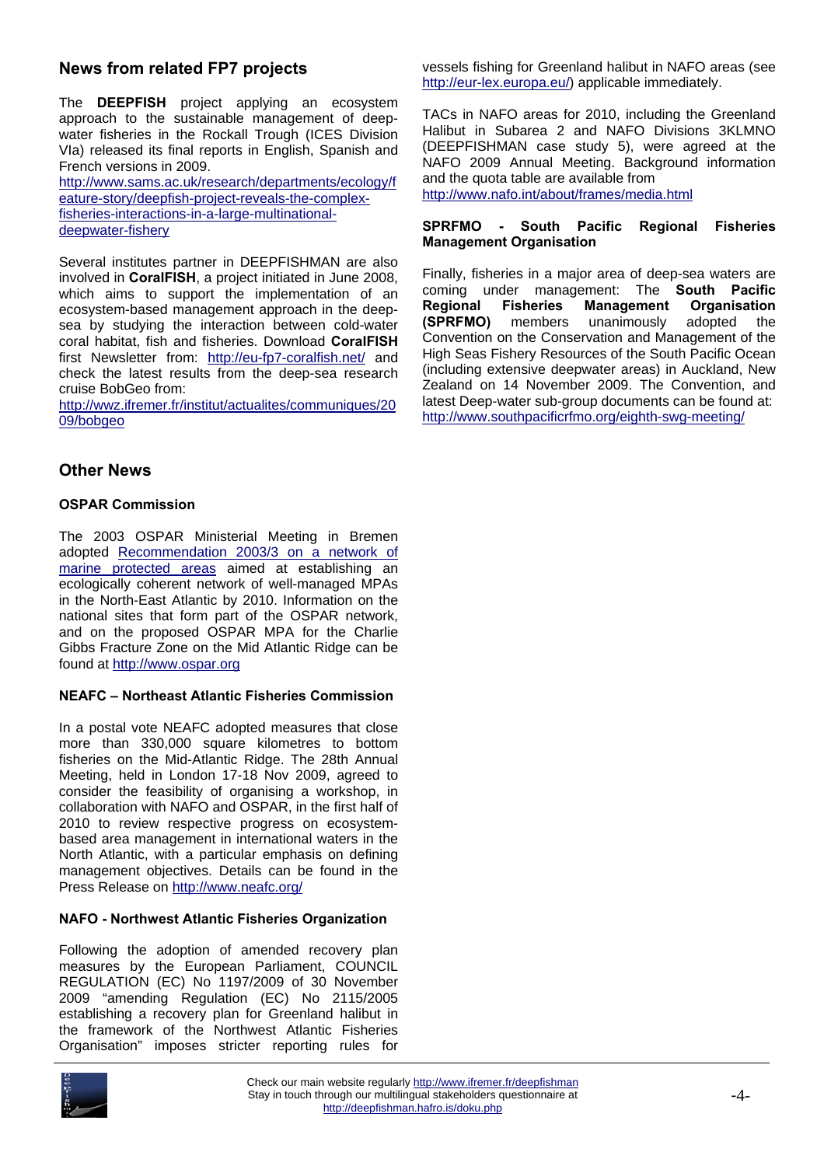### **News from related FP7 projects**

The **DEEPFISH** project applying an ecosystem approach to the sustainable management of deepwater fisheries in the Rockall Trough (ICES Division VIa) released its final reports in English, Spanish and French versions in 2009.

http://www.sams.ac.uk/research/departments/ecology/f eature-story/deepfish-project-reveals-the-complexfisheries-interactions-in-a-large-multinationaldeepwater-fishery

Several institutes partner in DEEPFISHMAN are also involved in **CoralFISH**, a project initiated in June 2008, which aims to support the implementation of an ecosystem-based management approach in the deepsea by studying the interaction between cold-water coral habitat, fish and fisheries. Download **CoralFISH** first Newsletter from: http://eu-fp7-coralfish.net/ and check the latest results from the deep-sea research cruise BobGeo from:

http://wwz.ifremer.fr/institut/actualites/communiques/20 09/bobgeo

### **Other News**

#### **OSPAR Commission**

The 2003 OSPAR Ministerial Meeting in Bremen adopted Recommendation 2003/3 on a network of marine protected areas aimed at establishing an ecologically coherent network of well-managed MPAs in the North-East Atlantic by 2010. Information on the national sites that form part of the OSPAR network, and on the proposed OSPAR MPA for the Charlie Gibbs Fracture Zone on the Mid Atlantic Ridge can be found at http://www.ospar.org

#### **NEAFC – Northeast Atlantic Fisheries Commission**

In a postal vote NEAFC adopted measures that close more than 330,000 square kilometres to bottom fisheries on the Mid-Atlantic Ridge. The 28th Annual Meeting, held in London 17-18 Nov 2009, agreed to consider the feasibility of organising a workshop, in collaboration with NAFO and OSPAR, in the first half of 2010 to review respective progress on ecosystembased area management in international waters in the North Atlantic, with a particular emphasis on defining management objectives. Details can be found in the Press Release on http://www.neafc.org/

#### **NAFO - Northwest Atlantic Fisheries Organization**

Following the adoption of amended recovery plan measures by the European Parliament, COUNCIL REGULATION (EC) No 1197/2009 of 30 November 2009 "amending Regulation (EC) No 2115/2005 establishing a recovery plan for Greenland halibut in the framework of the Northwest Atlantic Fisheries Organisation" imposes stricter reporting rules for



vessels fishing for Greenland halibut in NAFO areas (see http://eur-lex.europa.eu/) applicable immediately.

TACs in NAFO areas for 2010, including the Greenland Halibut in Subarea 2 and NAFO Divisions 3KLMNO (DEEPFISHMAN case study 5), were agreed at the NAFO 2009 Annual Meeting. Background information and the quota table are available from

http://www.nafo.int/about/frames/media.html

#### **SPRFMO - South Pacific Regional Fisheries Management Organisation**

Finally, fisheries in a major area of deep-sea waters are coming under management: The **South Pacific Regional Fisheries Management Organisation (SPRFMO)** members unanimously adopted the Convention on the Conservation and Management of the High Seas Fishery Resources of the South Pacific Ocean (including extensive deepwater areas) in Auckland, New Zealand on 14 November 2009. The Convention, and latest Deep-water sub-group documents can be found at: http://www.southpacificrfmo.org/eighth-swg-meeting/